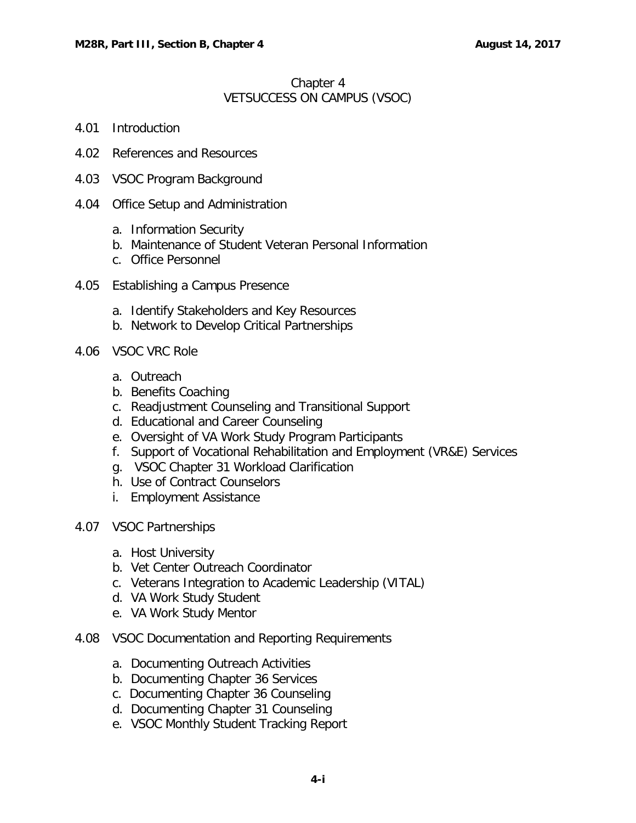### Chapter 4 VETSUCCESS ON CAMPUS (VSOC)

- 4.01 [Introduction](#page-2-0)
- 4.02 [References and Resources](#page-2-1)
- 4.03 [VSOC Program Background](#page-3-0)
- 4.04 [Office Setup and Administration](#page-3-1)
	- a. [Information Security](#page-3-2)
	- b. [Maintenance of Student Veteran Personal Information](#page-5-0)
	- c. [Office Personnel](#page-5-1)
- 4.05 [Establishing a Campus Presence](#page-5-2)
	- a. [Identify Stakeholders and Key Resources](#page-6-0)
	- b. [Network to Develop Critical Partnerships](#page-6-1)
- 4.06 [VSOC VRC](#page-6-2) Role
	- a. [Outreach](#page-7-0)
	- b. [Benefits Coaching](#page-8-0)
	- c. [Readjustment Counseling and Transitional Support](#page-9-0)
	- d. [Educational and Career Counseling](#page-9-1)
	- e. [Oversight of VA Work Study Program Participants](#page-11-0)
	- f. [Support of Vocational Rehabilitation and Employment \(VR&E\) Services](#page-12-0)
	- [g. VSOC Chapter 31 Workload Clarification](#page-13-0)
	- [h. Use of Contract Counselors](#page-13-0)
	- [i. Employment Assistance](#page-13-0)
- 4.07 [VSOC Partnerships](#page-14-0)
	- a. [Host University](#page-14-1)
	- b. [Vet Center Outreach Coordinator](#page-15-0)
	- c. [Veterans Integration to Academic Leadership \(VITAL\)](#page-15-1)
	- d. [VA Work Study Student](#page-15-2)
	- e. [VA Work Study Mentor](#page-15-3)
- 4.08 [VSOC Documentation and Reporting Requirements](#page-16-0)
	- a. [Documenting Outreach Activities](#page-16-1)
	- b. [Documenting Chapter 36 Services](#page-17-0)
	- [c. Documenting Chapter 36 Counseling](#page-17-0)
	- d. [Documenting Chapter 31 Counseling](#page-18-0)
	- e. [VSOC Monthly Student Tracking Report](#page-18-1)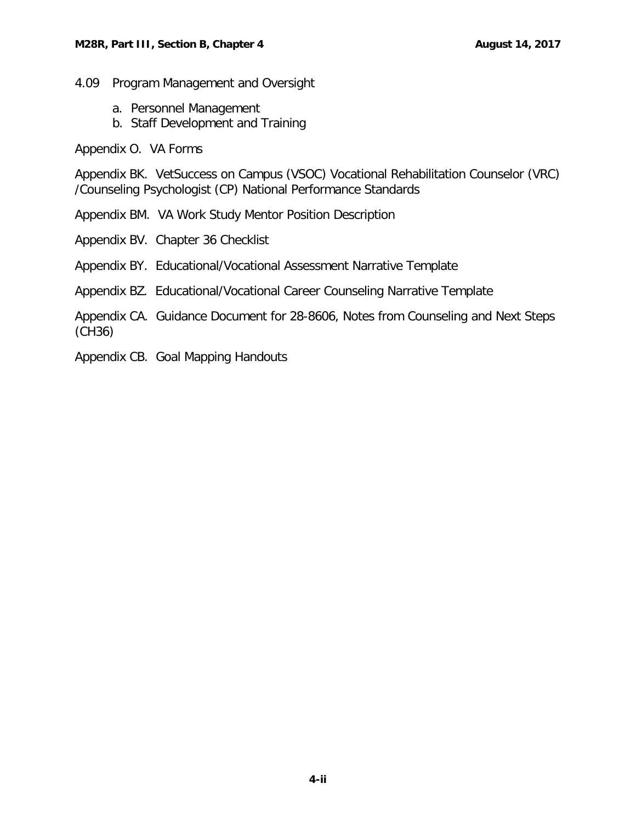4.09 [Program Management and Oversight](#page-19-0)

- a. [Personnel Management](#page-19-1)
- b. [Staff Development and Training](#page-19-2)

Appendix O. VA Forms

Appendix BK. VetSuccess on Campus (VSOC) Vocational Rehabilitation Counselor (VRC) /Counseling Psychologist (CP) National Performance Standards

Appendix BM. VA Work Study Mentor Position Description

Appendix BV. Chapter 36 Checklist

Appendix BY. Educational/Vocational Assessment Narrative Template

Appendix BZ. Educational/Vocational Career Counseling Narrative Template

Appendix CA. Guidance Document for 28-8606, Notes from Counseling and Next Steps (CH36)

Appendix CB. Goal Mapping Handouts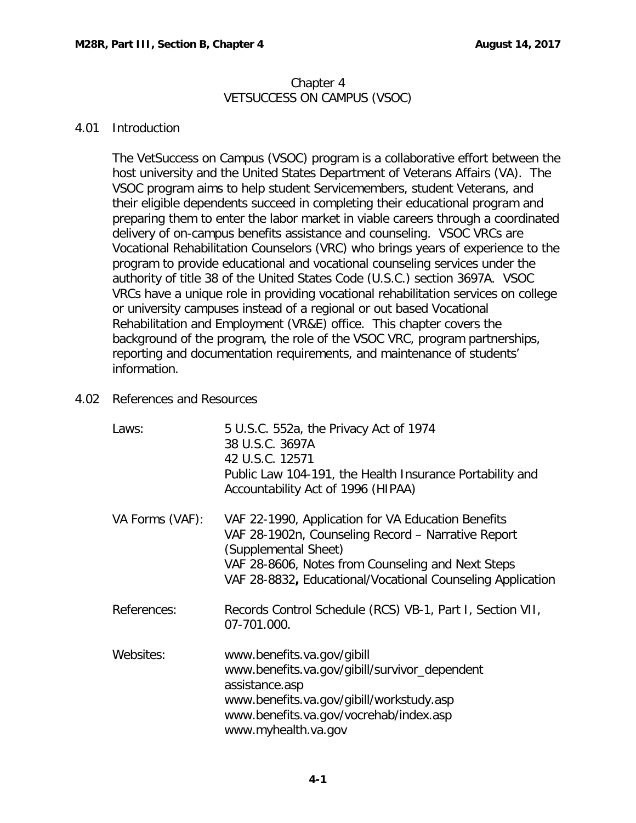### Chapter 4 VETSUCCESS ON CAMPUS (VSOC)

#### <span id="page-2-0"></span>4.01 Introduction

The VetSuccess on Campus (VSOC) program is a collaborative effort between the host university and the United States Department of Veterans Affairs (VA). The VSOC program aims to help student Servicemembers, student Veterans, and their eligible dependents succeed in completing their educational program and preparing them to enter the labor market in viable careers through a coordinated delivery of on-campus benefits assistance and counseling. VSOC VRCs are Vocational Rehabilitation Counselors (VRC) who brings years of experience to the program to provide educational and vocational counseling services under the authority of title 38 of the United States Code (U.S.C.) section 3697A. VSOC VRCs have a unique role in providing vocational rehabilitation services on college or university campuses instead of a regional or out based Vocational Rehabilitation and Employment (VR&E) office. This chapter covers the background of the program, the role of the VSOC VRC, program partnerships, reporting and documentation requirements, and maintenance of students' information.

### <span id="page-2-1"></span>4.02 References and Resources

| Laws:           | 5 U.S.C. 552a, the Privacy Act of 1974<br>38 U.S.C. 3697A<br>42 U.S.C. 12571<br>Public Law 104-191, the Health Insurance Portability and<br>Accountability Act of 1996 (HIPAA)                                                                      |
|-----------------|-----------------------------------------------------------------------------------------------------------------------------------------------------------------------------------------------------------------------------------------------------|
| VA Forms (VAF): | VAF 22-1990, Application for VA Education Benefits<br>VAF 28-1902n, Counseling Record – Narrative Report<br>(Supplemental Sheet)<br>VAF 28-8606, Notes from Counseling and Next Steps<br>VAF 28-8832, Educational/Vocational Counseling Application |
| References:     | Records Control Schedule (RCS) VB-1, Part I, Section VII,<br>07-701.000.                                                                                                                                                                            |
| Websites:       | www.benefits.va.gov/gibill<br>www.benefits.va.gov/gibill/survivor_dependent<br>assistance.asp<br>www.benefits.va.gov/gibill/workstudy.asp<br>www.benefits.va.gov/vocrehab/index.asp<br>www.myhealth.va.gov                                          |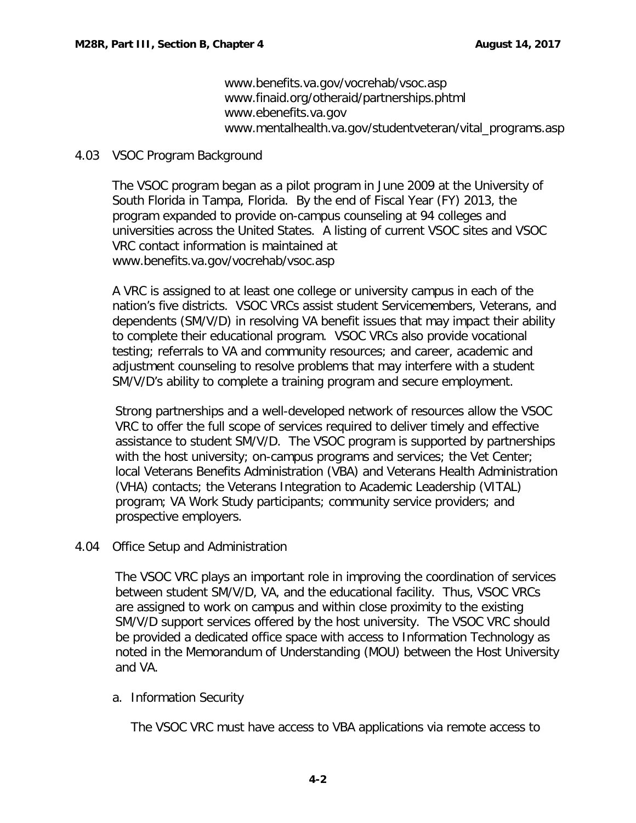[www.benefits.va.gov/vocrehab/vsoc.asp](http://www.benefits.va.gov/vocrehab/vsoc.asp) [www.finaid.org/otheraid/partnerships.phtml](http://www.finaid.org/otheraid/partnerships.phtml) [www.ebenefits.va.gov](http://www.ebenefits.va.gov/) [www.mentalhealth.va.gov/studentveteran/vital\\_programs.asp](https://www.mentalhealth.va.gov/studentveteran/vital_programs.asp)

### <span id="page-3-0"></span>4.03 VSOC Program Background

The VSOC program began as a pilot program in June 2009 at the University of South Florida in Tampa, Florida. By the end of Fiscal Year (FY) 2013, the program expanded to provide on-campus counseling at 94 colleges and universities across the United States. A listing of current VSOC sites and VSOC VRC contact information is maintained at [www.benefits.va.gov/vocrehab/vsoc.asp](http://www.benefits.va.gov/vocrehab/vsoc.asp)

A VRC is assigned to at least one college or university campus in each of the nation's five districts. VSOC VRCs assist student Servicemembers, Veterans, and dependents (SM/V/D) in resolving VA benefit issues that may impact their ability to complete their educational program. VSOC VRCs also provide vocational testing; referrals to VA and community resources; and career, academic and adjustment counseling to resolve problems that may interfere with a student SM/V/D's ability to complete a training program and secure employment.

Strong partnerships and a well-developed network of resources allow the VSOC VRC to offer the full scope of services required to deliver timely and effective assistance to student SM/V/D. The VSOC program is supported by partnerships with the host university; on-campus programs and services; the Vet Center; local Veterans Benefits Administration (VBA) and Veterans Health Administration (VHA) contacts; the Veterans Integration to Academic Leadership (VITAL) program; VA Work Study participants; community service providers; and prospective employers.

# <span id="page-3-1"></span>4.04 Office Setup and Administration

The VSOC VRC plays an important role in improving the coordination of services between student SM/V/D, VA, and the educational facility. Thus, VSOC VRCs are assigned to work on campus and within close proximity to the existing SM/V/D support services offered by the host university. The VSOC VRC should be provided a dedicated office space with access to Information Technology as noted in the Memorandum of Understanding (MOU) between the Host University and VA.

# <span id="page-3-2"></span>a. Information Security

The VSOC VRC must have access to VBA applications via remote access to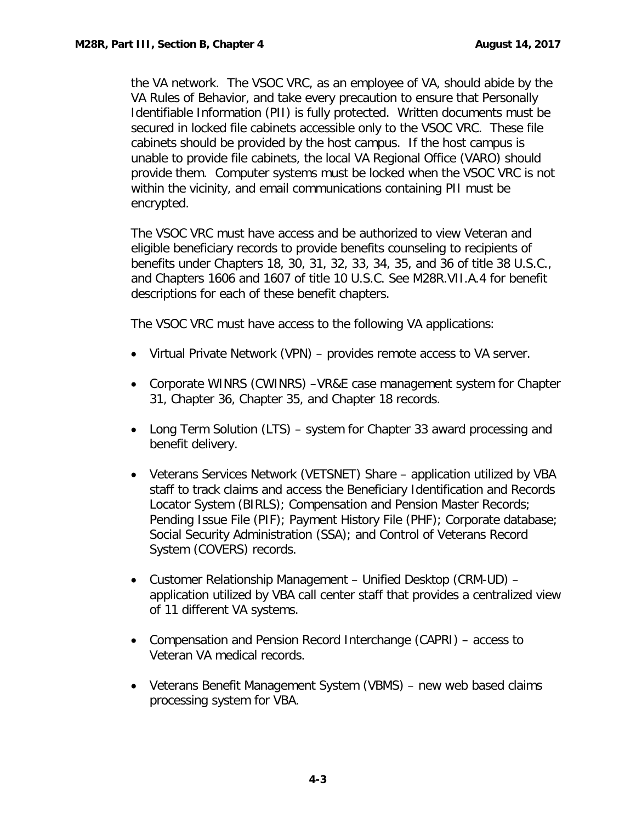the VA network. The VSOC VRC, as an employee of VA, should abide by the VA Rules of Behavior, and take every precaution to ensure that Personally Identifiable Information (PII) is fully protected. Written documents must be secured in locked file cabinets accessible only to the VSOC VRC. These file cabinets should be provided by the host campus. If the host campus is unable to provide file cabinets, the local VA Regional Office (VARO) should provide them. Computer systems must be locked when the VSOC VRC is not within the vicinity, and email communications containing PII must be encrypted.

The VSOC VRC must have access and be authorized to view Veteran and eligible beneficiary records to provide benefits counseling to recipients of benefits under Chapters 18, 30, 31, 32, 33, 34, 35, and 36 of title 38 U.S.C., and Chapters 1606 and 1607 of title 10 U.S.C. See M28R.VII.A.4 for benefit descriptions for each of these benefit chapters.

The VSOC VRC must have access to the following VA applications:

- Virtual Private Network (VPN) provides remote access to VA server.
- Corporate WINRS (CWINRS) –VR&E case management system for Chapter 31, Chapter 36, Chapter 35, and Chapter 18 records.
- Long Term Solution (LTS) system for Chapter 33 award processing and benefit delivery.
- Veterans Services Network (VETSNET) Share application utilized by VBA staff to track claims and access the Beneficiary Identification and Records Locator System (BIRLS); Compensation and Pension Master Records; Pending Issue File (PIF); Payment History File (PHF); Corporate database; Social Security Administration (SSA); and Control of Veterans Record System (COVERS) records.
- Customer Relationship Management Unified Desktop (CRM-UD) application utilized by VBA call center staff that provides a centralized view of 11 different VA systems.
- Compensation and Pension Record Interchange (CAPRI) access to Veteran VA medical records.
- Veterans Benefit Management System (VBMS) new web based claims processing system for VBA.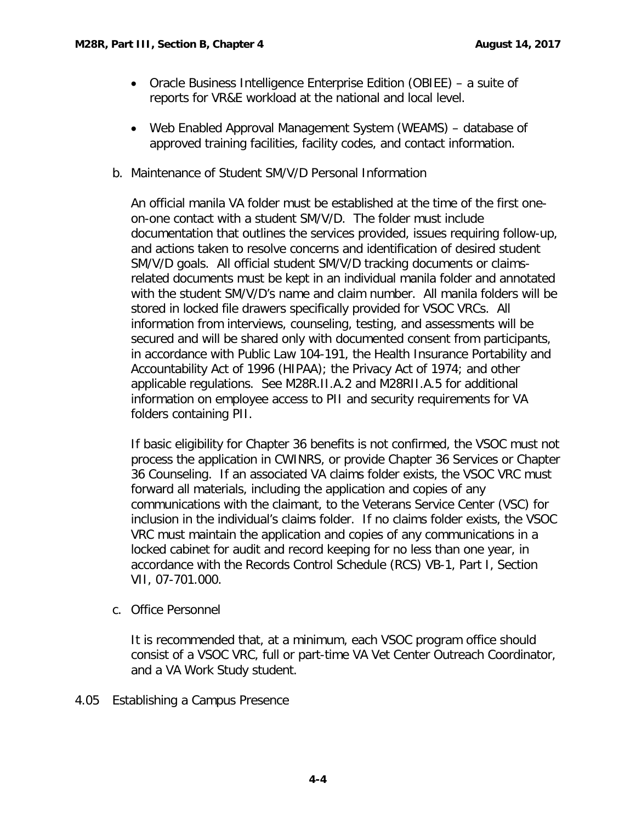- Oracle Business Intelligence Enterprise Edition (OBIEE) a suite of reports for VR&E workload at the national and local level.
- Web Enabled Approval Management System (WEAMS) database of approved training facilities, facility codes, and contact information.
- <span id="page-5-0"></span>b. Maintenance of Student SM/V/D Personal Information

An official manila VA folder must be established at the time of the first oneon-one contact with a student SM/V/D. The folder must include documentation that outlines the services provided, issues requiring follow-up, and actions taken to resolve concerns and identification of desired student SM/V/D goals. All official student SM/V/D tracking documents or claimsrelated documents must be kept in an individual manila folder and annotated with the student SM/V/D's name and claim number. All manila folders will be stored in locked file drawers specifically provided for VSOC VRCs. All information from interviews, counseling, testing, and assessments will be secured and will be shared only with documented consent from participants, in accordance with Public Law 104-191, the Health Insurance Portability and Accountability Act of 1996 (HIPAA); the Privacy Act of 1974; and other applicable regulations. See M28R.II.A.2 and M28RII.A.5 for additional information on employee access to PII and security requirements for VA folders containing PII.

If basic eligibility for Chapter 36 benefits is not confirmed, the VSOC must not process the application in CWINRS, or provide Chapter 36 Services or Chapter 36 Counseling. If an associated VA claims folder exists, the VSOC VRC must forward all materials, including the application and copies of any communications with the claimant, to the Veterans Service Center (VSC) for inclusion in the individual's claims folder. If no claims folder exists, the VSOC VRC must maintain the application and copies of any communications in a locked cabinet for audit and record keeping for no less than one year, in accordance with the Records Control Schedule (RCS) VB-1, Part I, Section VII, 07-701.000.

<span id="page-5-1"></span>c. Office Personnel

It is recommended that, at a minimum, each VSOC program office should consist of a VSOC VRC, full or part-time VA Vet Center Outreach Coordinator, and a VA Work Study student.

<span id="page-5-2"></span>4.05 Establishing a Campus Presence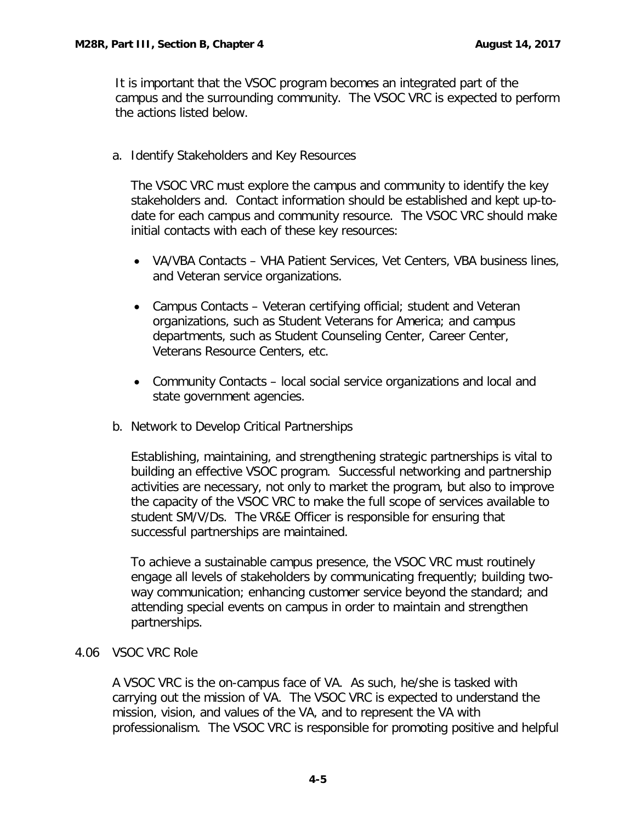It is important that the VSOC program becomes an integrated part of the campus and the surrounding community. The VSOC VRC is expected to perform the actions listed below.

<span id="page-6-0"></span>a. Identify Stakeholders and Key Resources

The VSOC VRC must explore the campus and community to identify the key stakeholders and. Contact information should be established and kept up-todate for each campus and community resource. The VSOC VRC should make initial contacts with each of these key resources:

- VA/VBA Contacts VHA Patient Services, Vet Centers, VBA business lines, and Veteran service organizations.
- Campus Contacts Veteran certifying official; student and Veteran organizations, such as Student Veterans for America; and campus departments, such as Student Counseling Center, Career Center, Veterans Resource Centers, etc.
- Community Contacts local social service organizations and local and state government agencies.
- <span id="page-6-1"></span>b. Network to Develop Critical Partnerships

Establishing, maintaining, and strengthening strategic partnerships is vital to building an effective VSOC program. Successful networking and partnership activities are necessary, not only to market the program, but also to improve the capacity of the VSOC VRC to make the full scope of services available to student SM/V/Ds. The VR&E Officer is responsible for ensuring that successful partnerships are maintained.

To achieve a sustainable campus presence, the VSOC VRC must routinely engage all levels of stakeholders by communicating frequently; building twoway communication; enhancing customer service beyond the standard; and attending special events on campus in order to maintain and strengthen partnerships.

### <span id="page-6-2"></span>4.06 VSOC VRC Role

A VSOC VRC is the on-campus face of VA. As such, he/she is tasked with carrying out the mission of VA. The VSOC VRC is expected to understand the mission, vision, and values of the VA, and to represent the VA with professionalism. The VSOC VRC is responsible for promoting positive and helpful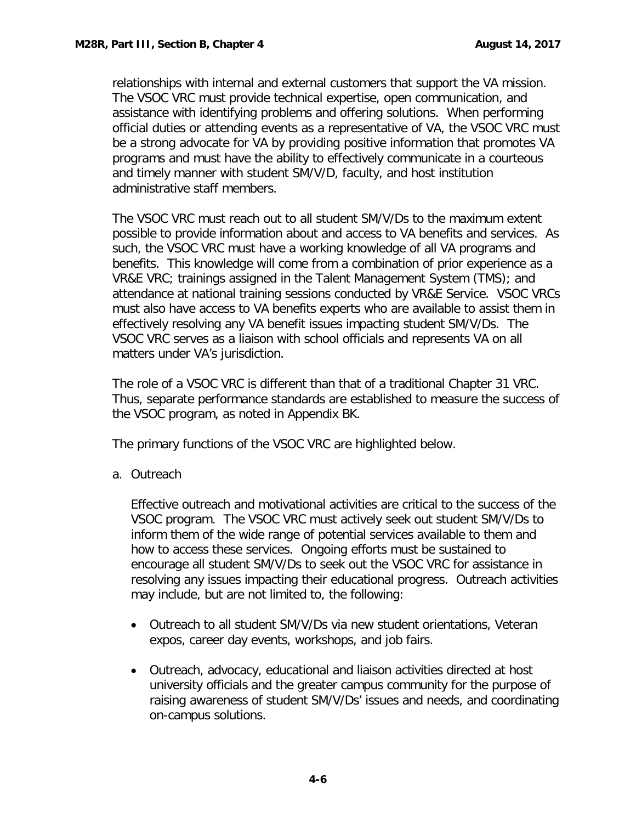relationships with internal and external customers that support the VA mission. The VSOC VRC must provide technical expertise, open communication, and assistance with identifying problems and offering solutions. When performing official duties or attending events as a representative of VA, the VSOC VRC must be a strong advocate for VA by providing positive information that promotes VA programs and must have the ability to effectively communicate in a courteous and timely manner with student SM/V/D, faculty, and host institution administrative staff members.

The VSOC VRC must reach out to all student SM/V/Ds to the maximum extent possible to provide information about and access to VA benefits and services. As such, the VSOC VRC must have a working knowledge of all VA programs and benefits. This knowledge will come from a combination of prior experience as a VR&E VRC; trainings assigned in the Talent Management System (TMS); and attendance at national training sessions conducted by VR&E Service. VSOC VRCs must also have access to VA benefits experts who are available to assist them in effectively resolving any VA benefit issues impacting student SM/V/Ds. The VSOC VRC serves as a liaison with school officials and represents VA on all matters under VA's jurisdiction.

The role of a VSOC VRC is different than that of a traditional Chapter 31 VRC. Thus, separate performance standards are established to measure the success of the VSOC program, as noted in Appendix BK.

The primary functions of the VSOC VRC are highlighted below.

<span id="page-7-0"></span>a. Outreach

Effective outreach and motivational activities are critical to the success of the VSOC program. The VSOC VRC must actively seek out student SM/V/Ds to inform them of the wide range of potential services available to them and how to access these services. Ongoing efforts must be sustained to encourage all student SM/V/Ds to seek out the VSOC VRC for assistance in resolving any issues impacting their educational progress. Outreach activities may include, but are not limited to, the following:

- Outreach to all student SM/V/Ds via new student orientations, Veteran expos, career day events, workshops, and job fairs.
- Outreach, advocacy, educational and liaison activities directed at host university officials and the greater campus community for the purpose of raising awareness of student SM/V/Ds' issues and needs, and coordinating on-campus solutions.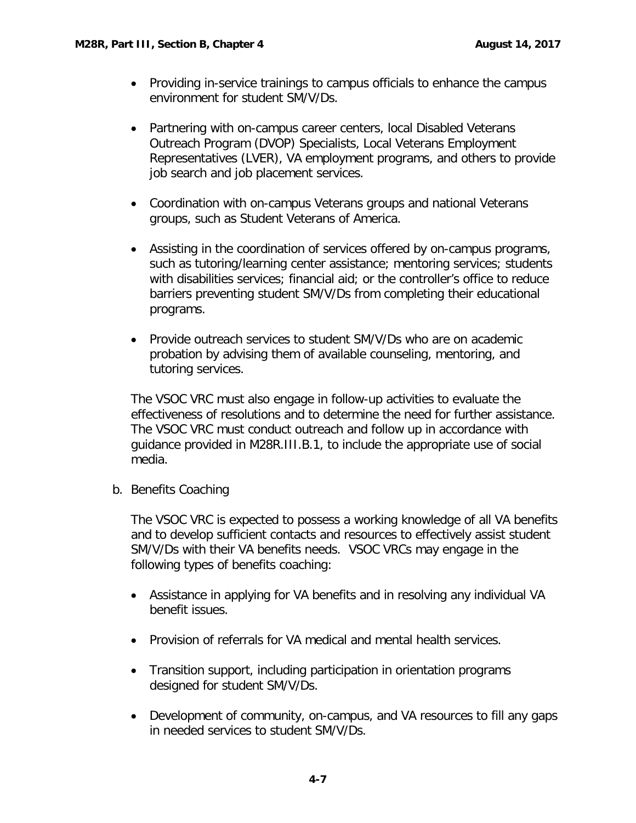- Providing in-service trainings to campus officials to enhance the campus environment for student SM/V/Ds.
- Partnering with on-campus career centers, local Disabled Veterans Outreach Program (DVOP) Specialists, Local Veterans Employment Representatives (LVER), VA employment programs, and others to provide job search and job placement services.
- Coordination with on-campus Veterans groups and national Veterans groups, such as Student Veterans of America.
- Assisting in the coordination of services offered by on-campus programs, such as tutoring/learning center assistance; mentoring services; students with disabilities services; financial aid; or the controller's office to reduce barriers preventing student SM/V/Ds from completing their educational programs.
- Provide outreach services to student SM/V/Ds who are on academic probation by advising them of available counseling, mentoring, and tutoring services.

The VSOC VRC must also engage in follow-up activities to evaluate the effectiveness of resolutions and to determine the need for further assistance. The VSOC VRC must conduct outreach and follow up in accordance with guidance provided in M28R.III.B.1, to include the appropriate use of social media.

<span id="page-8-0"></span>b. Benefits Coaching

The VSOC VRC is expected to possess a working knowledge of all VA benefits and to develop sufficient contacts and resources to effectively assist student SM/V/Ds with their VA benefits needs. VSOC VRCs may engage in the following types of benefits coaching:

- Assistance in applying for VA benefits and in resolving any individual VA benefit issues.
- Provision of referrals for VA medical and mental health services.
- Transition support, including participation in orientation programs designed for student SM/V/Ds.
- Development of community, on-campus, and VA resources to fill any gaps in needed services to student SM/V/Ds.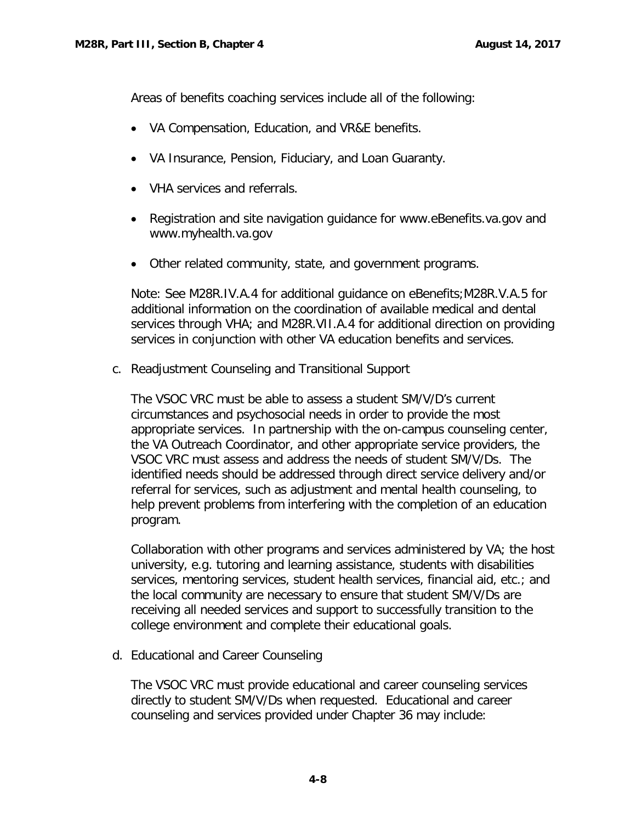Areas of benefits coaching services include all of the following:

- VA Compensation, Education, and VR&E benefits.
- VA Insurance, Pension, Fiduciary, and Loan Guaranty.
- VHA services and referrals.
- Registration and site navigation guidance for [www.eBenefits.va.gov](http://www.ebenefits.va.gov/) and [www.myhealth.va.gov](http://www.myhealth.va.gov/)
- Other related community, state, and government programs.

Note: See M28R.IV.A.4 for additional guidance on eBenefits;M28R.V.A.5 for additional information on the coordination of available medical and dental services through VHA; and M28R.VII.A.4 for additional direction on providing services in conjunction with other VA education benefits and services.

<span id="page-9-0"></span>c. Readjustment Counseling and Transitional Support

The VSOC VRC must be able to assess a student SM/V/D's current circumstances and psychosocial needs in order to provide the most appropriate services. In partnership with the on-campus counseling center, the VA Outreach Coordinator, and other appropriate service providers, the VSOC VRC must assess and address the needs of student SM/V/Ds. The identified needs should be addressed through direct service delivery and/or referral for services, such as adjustment and mental health counseling, to help prevent problems from interfering with the completion of an education program.

Collaboration with other programs and services administered by VA; the host university, e.g. tutoring and learning assistance, students with disabilities services, mentoring services, student health services, financial aid, etc.; and the local community are necessary to ensure that student SM/V/Ds are receiving all needed services and support to successfully transition to the college environment and complete their educational goals.

<span id="page-9-1"></span>d. Educational and Career Counseling

The VSOC VRC must provide educational and career counseling services directly to student SM/V/Ds when requested. Educational and career counseling and services provided under Chapter 36 may include: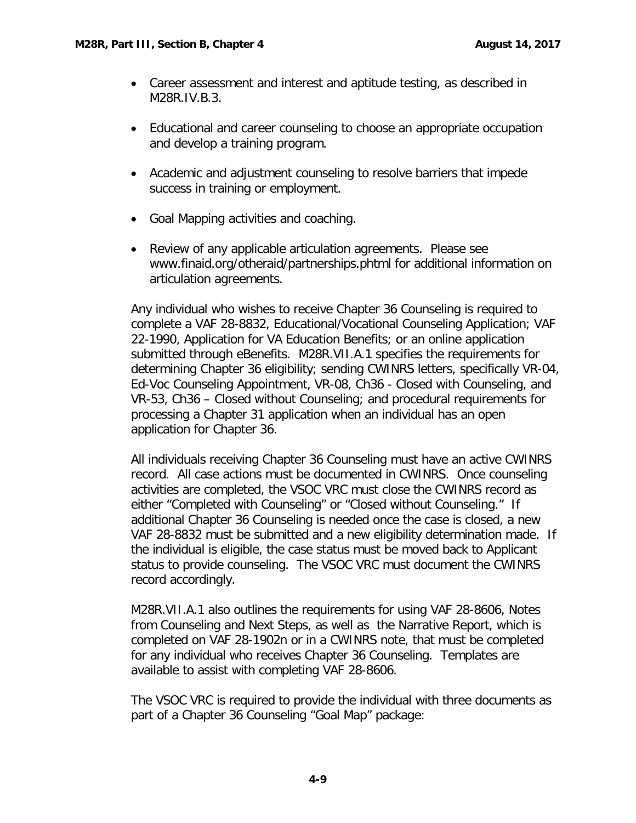- Career assessment and interest and aptitude testing, as described in M28R.IV.B.3.
- Educational and career counseling to choose an appropriate occupation and develop a training program.
- Academic and adjustment counseling to resolve barriers that impede success in training or employment.
- Goal Mapping activities and coaching.
- Review of any applicable articulation agreements. Please see [www.finaid.org/otheraid/partnerships.phtml](http://www.finaid.org/otheraid/partnerships.phtml) for additional information on articulation agreements.

Any individual who wishes to receive Chapter 36 Counseling is required to complete a VAF 28-8832, Educational/Vocational Counseling Application; VAF 22-1990, Application for VA Education Benefits; or an online application submitted through eBenefits. M28R.VII.A.1 specifies the requirements for determining Chapter 36 eligibility; sending CWINRS letters, specifically VR-04, Ed-Voc Counseling Appointment, VR-08, Ch36 - Closed with Counseling, and VR-53, Ch36 – Closed without Counseling; and procedural requirements for processing a Chapter 31 application when an individual has an open application for Chapter 36.

All individuals receiving Chapter 36 Counseling must have an active CWINRS record. All case actions must be documented in CWINRS. Once counseling activities are completed, the VSOC VRC must close the CWINRS record as either "Completed with Counseling" or "Closed without Counseling." If additional Chapter 36 Counseling is needed once the case is closed, a new VAF 28-8832 must be submitted and a new eligibility determination made. If the individual is eligible, the case status must be moved back to Applicant status to provide counseling. The VSOC VRC must document the CWINRS record accordingly.

M28R.VII.A.1 also outlines the requirements for using VAF 28-8606, Notes from Counseling and Next Steps, as well as the Narrative Report, which is completed on VAF 28-1902n or in a CWINRS note, that must be completed for any individual who receives Chapter 36 Counseling. Templates are available to assist with completing VAF 28-8606.

The VSOC VRC is required to provide the individual with three documents as part of a Chapter 36 Counseling "Goal Map" package: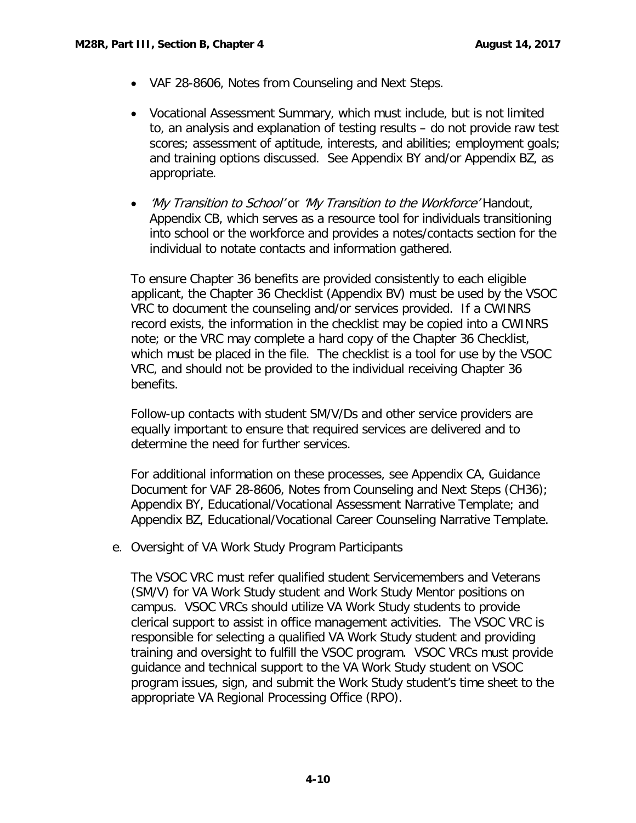- VAF 28-8606, Notes from Counseling and Next Steps.
- Vocational Assessment Summary, which must include, but is not limited to, an analysis and explanation of testing results – do not provide raw test scores; assessment of aptitude, interests, and abilities; employment goals; and training options discussed. See Appendix BY and/or Appendix BZ, as appropriate.
- *'My Transition to School'* or '*My Transition to the Workforce'* Handout, Appendix CB, which serves as a resource tool for individuals transitioning into school or the workforce and provides a notes/contacts section for the individual to notate contacts and information gathered.

To ensure Chapter 36 benefits are provided consistently to each eligible applicant, the Chapter 36 Checklist (Appendix BV) must be used by the VSOC VRC to document the counseling and/or services provided. If a CWINRS record exists, the information in the checklist may be copied into a CWINRS note; or the VRC may complete a hard copy of the Chapter 36 Checklist, which must be placed in the file. The checklist is a tool for use by the VSOC VRC, and should not be provided to the individual receiving Chapter 36 benefits.

Follow-up contacts with student SM/V/Ds and other service providers are equally important to ensure that required services are delivered and to determine the need for further services.

For additional information on these processes, see Appendix CA, Guidance Document for VAF 28-8606, Notes from Counseling and Next Steps (CH36); Appendix BY, Educational/Vocational Assessment Narrative Template; and Appendix BZ, Educational/Vocational Career Counseling Narrative Template.

<span id="page-11-0"></span>e. Oversight of VA Work Study Program Participants

The VSOC VRC must refer qualified student Servicemembers and Veterans (SM/V) for VA Work Study student and Work Study Mentor positions on campus. VSOC VRCs should utilize VA Work Study students to provide clerical support to assist in office management activities. The VSOC VRC is responsible for selecting a qualified VA Work Study student and providing training and oversight to fulfill the VSOC program. VSOC VRCs must provide guidance and technical support to the VA Work Study student on VSOC program issues, sign, and submit the Work Study student's time sheet to the appropriate VA Regional Processing Office (RPO).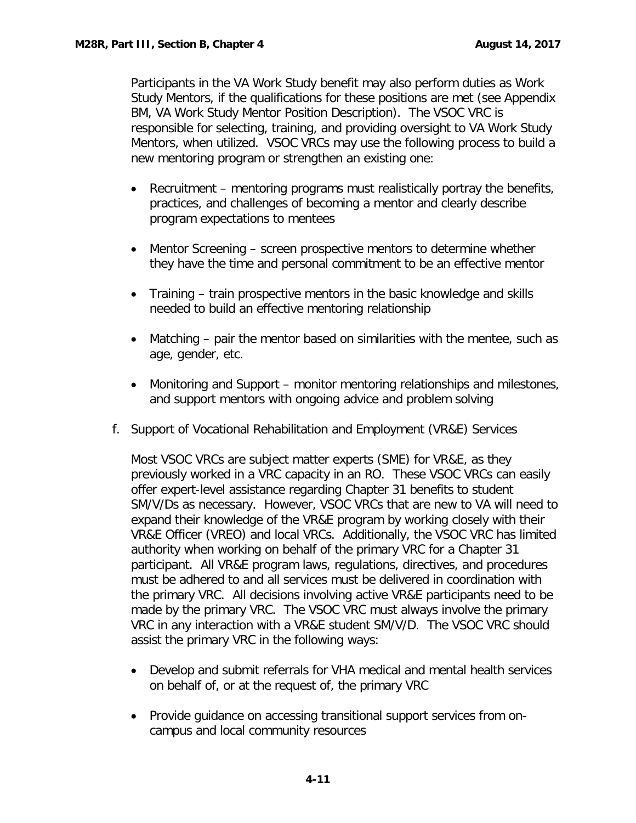Participants in the VA Work Study benefit may also perform duties as Work Study Mentors, if the qualifications for these positions are met (see Appendix BM, VA Work Study Mentor Position Description). The VSOC VRC is responsible for selecting, training, and providing oversight to VA Work Study Mentors, when utilized. VSOC VRCs may use the following process to build a new mentoring program or strengthen an existing one:

- Recruitment mentoring programs must realistically portray the benefits, practices, and challenges of becoming a mentor and clearly describe program expectations to mentees
- Mentor Screening screen prospective mentors to determine whether they have the time and personal commitment to be an effective mentor
- Training train prospective mentors in the basic knowledge and skills needed to build an effective mentoring relationship
- Matching pair the mentor based on similarities with the mentee, such as age, gender, etc.
- Monitoring and Support monitor mentoring relationships and milestones, and support mentors with ongoing advice and problem solving
- <span id="page-12-0"></span>f. Support of Vocational Rehabilitation and Employment (VR&E) Services

Most VSOC VRCs are subject matter experts (SME) for VR&E, as they previously worked in a VRC capacity in an RO. These VSOC VRCs can easily offer expert-level assistance regarding Chapter 31 benefits to student SM/V/Ds as necessary. However, VSOC VRCs that are new to VA will need to expand their knowledge of the VR&E program by working closely with their VR&E Officer (VREO) and local VRCs. Additionally, the VSOC VRC has limited authority when working on behalf of the primary VRC for a Chapter 31 participant. All VR&E program laws, regulations, directives, and procedures must be adhered to and all services must be delivered in coordination with the primary VRC. All decisions involving active VR&E participants need to be made by the primary VRC. The VSOC VRC must always involve the primary VRC in any interaction with a VR&E student SM/V/D. The VSOC VRC should assist the primary VRC in the following ways:

- Develop and submit referrals for VHA medical and mental health services on behalf of, or at the request of, the primary VRC
- Provide guidance on accessing transitional support services from oncampus and local community resources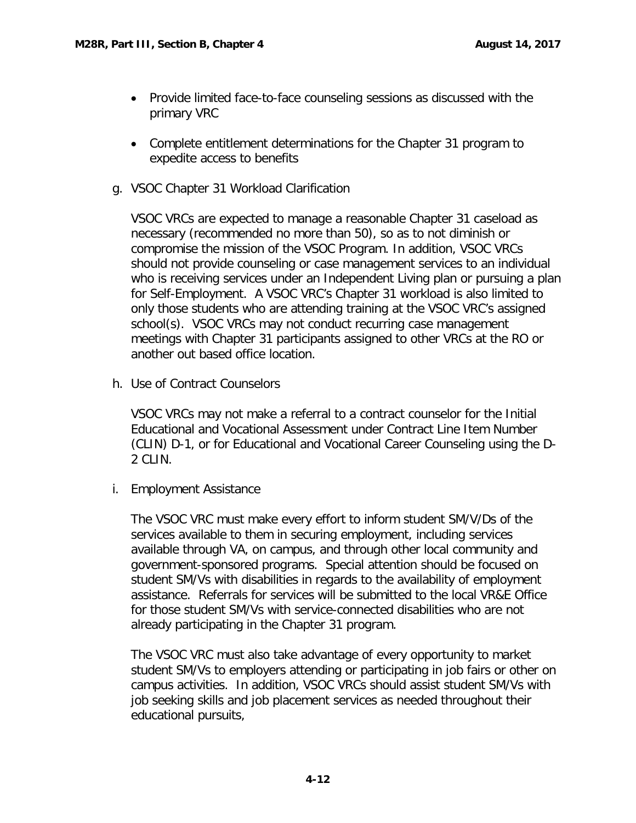- Provide limited face-to-face counseling sessions as discussed with the primary VRC
- Complete entitlement determinations for the Chapter 31 program to expedite access to benefits
- <span id="page-13-0"></span>g. VSOC Chapter 31 Workload Clarification

VSOC VRCs are expected to manage a reasonable Chapter 31 caseload as necessary (recommended no more than 50), so as to not diminish or compromise the mission of the VSOC Program. In addition, VSOC VRCs should not provide counseling or case management services to an individual who is receiving services under an Independent Living plan or pursuing a plan for Self-Employment. A VSOC VRC's Chapter 31 workload is also limited to only those students who are attending training at the VSOC VRC's assigned school(s). VSOC VRCs may not conduct recurring case management meetings with Chapter 31 participants assigned to other VRCs at the RO or another out based office location.

h. Use of Contract Counselors

VSOC VRCs may not make a referral to a contract counselor for the Initial Educational and Vocational Assessment under Contract Line Item Number (CLIN) D-1, or for Educational and Vocational Career Counseling using the D-2 CLIN.

i. Employment Assistance

The VSOC VRC must make every effort to inform student SM/V/Ds of the services available to them in securing employment, including services available through VA, on campus, and through other local community and government-sponsored programs. Special attention should be focused on student SM/Vs with disabilities in regards to the availability of employment assistance. Referrals for services will be submitted to the local VR&E Office for those student SM/Vs with service-connected disabilities who are not already participating in the Chapter 31 program.

The VSOC VRC must also take advantage of every opportunity to market student SM/Vs to employers attending or participating in job fairs or other on campus activities. In addition, VSOC VRCs should assist student SM/Vs with job seeking skills and job placement services as needed throughout their educational pursuits,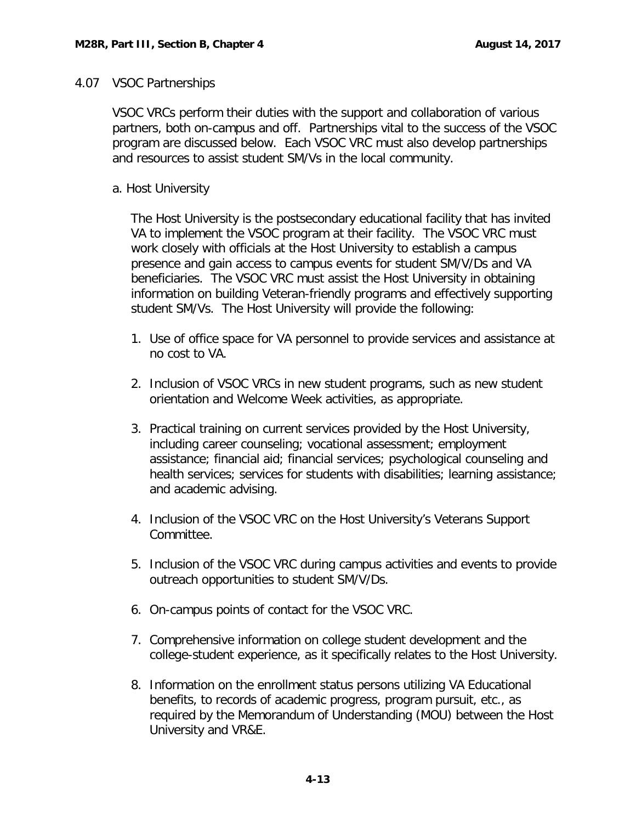#### <span id="page-14-0"></span>4.07 VSOC Partnerships

VSOC VRCs perform their duties with the support and collaboration of various partners, both on-campus and off. Partnerships vital to the success of the VSOC program are discussed below. Each VSOC VRC must also develop partnerships and resources to assist student SM/Vs in the local community.

### <span id="page-14-1"></span>a. Host University

The Host University is the postsecondary educational facility that has invited VA to implement the VSOC program at their facility. The VSOC VRC must work closely with officials at the Host University to establish a campus presence and gain access to campus events for student SM/V/Ds and VA beneficiaries. The VSOC VRC must assist the Host University in obtaining information on building Veteran-friendly programs and effectively supporting student SM/Vs. The Host University will provide the following:

- 1. Use of office space for VA personnel to provide services and assistance at no cost to VA.
- 2. Inclusion of VSOC VRCs in new student programs, such as new student orientation and Welcome Week activities, as appropriate.
- 3. Practical training on current services provided by the Host University, including career counseling; vocational assessment; employment assistance; financial aid; financial services; psychological counseling and health services; services for students with disabilities; learning assistance; and academic advising.
- 4. Inclusion of the VSOC VRC on the Host University's Veterans Support Committee.
- 5. Inclusion of the VSOC VRC during campus activities and events to provide outreach opportunities to student SM/V/Ds.
- 6. On-campus points of contact for the VSOC VRC.
- 7. Comprehensive information on college student development and the college-student experience, as it specifically relates to the Host University.
- 8. Information on the enrollment status persons utilizing VA Educational benefits, to records of academic progress, program pursuit, etc., as required by the Memorandum of Understanding (MOU) between the Host University and VR&E.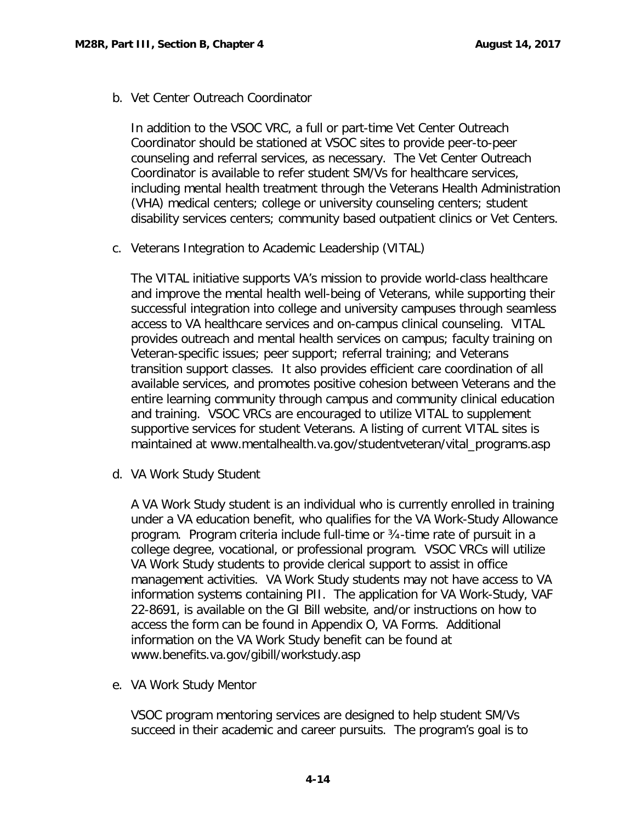<span id="page-15-0"></span>b. Vet Center Outreach Coordinator

In addition to the VSOC VRC, a full or part-time Vet Center Outreach Coordinator should be stationed at VSOC sites to provide peer-to-peer counseling and referral services, as necessary. The Vet Center Outreach Coordinator is available to refer student SM/Vs for healthcare services, including mental health treatment through the Veterans Health Administration (VHA) medical centers; college or university counseling centers; student disability services centers; community based outpatient clinics or Vet Centers.

<span id="page-15-1"></span>c. Veterans Integration to Academic Leadership (VITAL)

The VITAL initiative supports VA's mission to provide world-class healthcare and improve the mental health well-being of Veterans, while supporting their successful integration into college and university campuses through seamless access to VA healthcare services and on-campus clinical counseling. VITAL provides outreach and mental health services on campus; faculty training on Veteran-specific issues; peer support; referral training; and Veterans transition support classes. It also provides efficient care coordination of all available services, and promotes positive cohesion between Veterans and the entire learning community through campus and community clinical education and training. VSOC VRCs are encouraged to utilize VITAL to supplement supportive services for student Veterans. A listing of current VITAL sites is maintained at [www.mentalhealth.va.gov/studentveteran/vital\\_programs.asp](https://www.mentalhealth.va.gov/studentveteran/vital_programs.asp)

<span id="page-15-2"></span>d. VA Work Study Student

A VA Work Study student is an individual who is currently enrolled in training under a VA education benefit, who qualifies for the VA Work-Study Allowance program. Program criteria include full-time or ¾-time rate of pursuit in a college degree, vocational, or professional program. VSOC VRCs will utilize VA Work Study students to provide clerical support to assist in office management activities. VA Work Study students may not have access to VA information systems containing PII. The application for VA Work-Study, VAF 22-8691, is available on the GI Bill website, and/or instructions on how to access the form can be found in Appendix O, VA Forms. Additional information on the VA Work Study benefit can be found at [www.benefits.va.gov/gibill/workstudy.asp](http://www.benefits.va.gov/gibill/workstudy.asp) 

<span id="page-15-3"></span>e. VA Work Study Mentor

VSOC program mentoring services are designed to help student SM/Vs succeed in their academic and career pursuits. The program's goal is to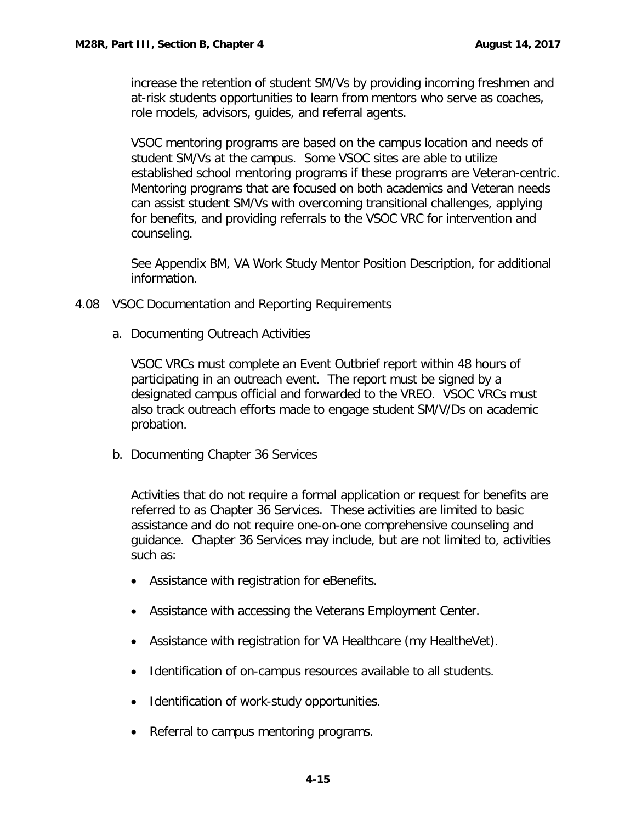increase the retention of student SM/Vs by providing incoming freshmen and at-risk students opportunities to learn from mentors who serve as coaches, role models, advisors, guides, and referral agents.

VSOC mentoring programs are based on the campus location and needs of student SM/Vs at the campus. Some VSOC sites are able to utilize established school mentoring programs if these programs are Veteran-centric. Mentoring programs that are focused on both academics and Veteran needs can assist student SM/Vs with overcoming transitional challenges, applying for benefits, and providing referrals to the VSOC VRC for intervention and counseling.

See Appendix BM, VA Work Study Mentor Position Description, for additional information.

- <span id="page-16-1"></span><span id="page-16-0"></span>4.08 VSOC Documentation and Reporting Requirements
	- a. Documenting Outreach Activities

VSOC VRCs must complete an Event Outbrief report within 48 hours of participating in an outreach event. The report must be signed by a designated campus official and forwarded to the VREO. VSOC VRCs must also track outreach efforts made to engage student SM/V/Ds on academic probation.

b. Documenting Chapter 36 Services

Activities that do not require a formal application or request for benefits are referred to as Chapter 36 Services. These activities are limited to basic assistance and do not require one-on-one comprehensive counseling and guidance. Chapter 36 Services may include, but are not limited to, activities such as:

- Assistance with registration for eBenefits.
- Assistance with accessing the Veterans Employment Center.
- Assistance with registration for VA Healthcare (my HealtheVet).
- Identification of on-campus resources available to all students.
- Identification of work-study opportunities.
- Referral to campus mentoring programs.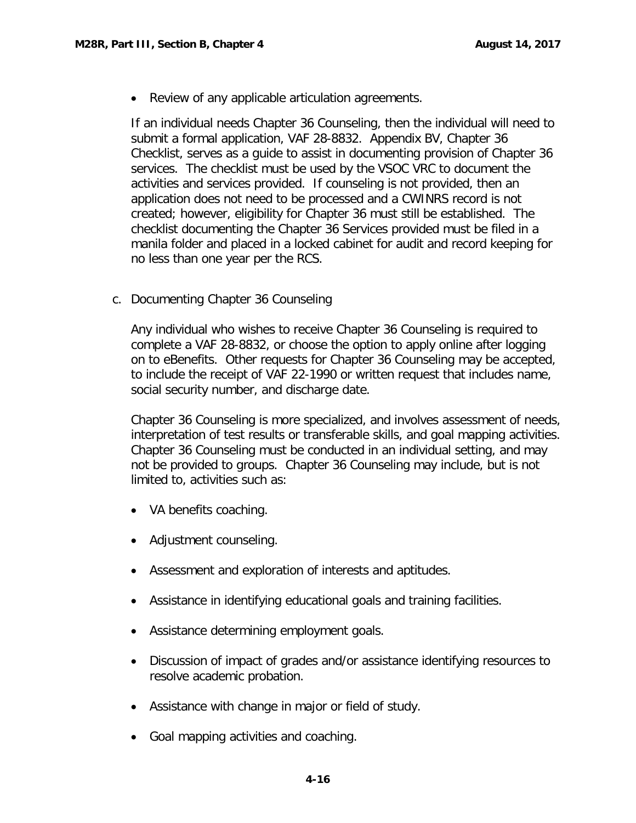• Review of any applicable articulation agreements.

If an individual needs Chapter 36 Counseling, then the individual will need to submit a formal application, VAF 28-8832. Appendix BV, Chapter 36 Checklist, serves as a guide to assist in documenting provision of Chapter 36 services. The checklist must be used by the VSOC VRC to document the activities and services provided. If counseling is not provided, then an application does not need to be processed and a CWINRS record is not created; however, eligibility for Chapter 36 must still be established. The checklist documenting the Chapter 36 Services provided must be filed in a manila folder and placed in a locked cabinet for audit and record keeping for no less than one year per the RCS.

<span id="page-17-0"></span>c. Documenting Chapter 36 Counseling

Any individual who wishes to receive Chapter 36 Counseling is required to complete a VAF 28-8832, or choose the option to apply online after logging on to eBenefits. Other requests for Chapter 36 Counseling may be accepted, to include the receipt of VAF 22-1990 or written request that includes name, social security number, and discharge date.

Chapter 36 Counseling is more specialized, and involves assessment of needs, interpretation of test results or transferable skills, and goal mapping activities. Chapter 36 Counseling must be conducted in an individual setting, and may not be provided to groups. Chapter 36 Counseling may include, but is not limited to, activities such as:

- VA benefits coaching.
- Adjustment counseling.
- Assessment and exploration of interests and aptitudes.
- Assistance in identifying educational goals and training facilities.
- Assistance determining employment goals.
- Discussion of impact of grades and/or assistance identifying resources to resolve academic probation.
- Assistance with change in major or field of study.
- Goal mapping activities and coaching.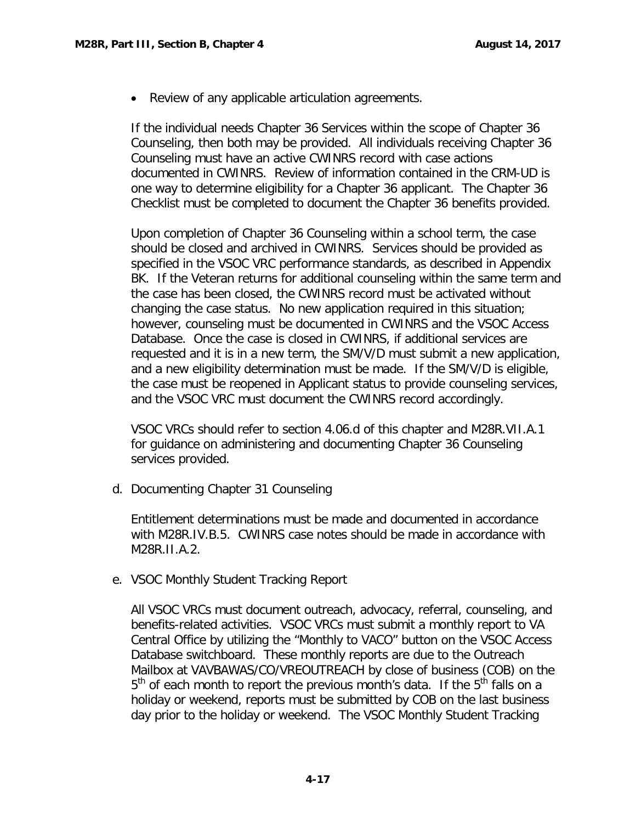• Review of any applicable articulation agreements.

If the individual needs Chapter 36 Services within the scope of Chapter 36 Counseling, then both may be provided. All individuals receiving Chapter 36 Counseling must have an active CWINRS record with case actions documented in CWINRS. Review of information contained in the CRM-UD is one way to determine eligibility for a Chapter 36 applicant. The Chapter 36 Checklist must be completed to document the Chapter 36 benefits provided.

Upon completion of Chapter 36 Counseling within a school term, the case should be closed and archived in CWINRS. Services should be provided as specified in the VSOC VRC performance standards, as described in Appendix BK. If the Veteran returns for additional counseling within the same term and the case has been closed, the CWINRS record must be activated without changing the case status. No new application required in this situation; however, counseling must be documented in CWINRS and the VSOC Access Database. Once the case is closed in CWINRS, if additional services are requested and it is in a new term, the SM/V/D must submit a new application, and a new eligibility determination must be made. If the SM/V/D is eligible, the case must be reopened in Applicant status to provide counseling services, and the VSOC VRC must document the CWINRS record accordingly.

VSOC VRCs should refer to section 4.06.d of this chapter and M28R.VII.A.1 for guidance on administering and documenting Chapter 36 Counseling services provided.

<span id="page-18-0"></span>d. Documenting Chapter 31 Counseling

Entitlement determinations must be made and documented in accordance with M28R.IV.B.5. CWINRS case notes should be made in accordance with M28R.II.A.2.

<span id="page-18-1"></span>e. VSOC Monthly Student Tracking Report

All VSOC VRCs must document outreach, advocacy, referral, counseling, and benefits-related activities. VSOC VRCs must submit a monthly report to VA Central Office by utilizing the "Monthly to VACO" button on the VSOC Access Database switchboard. These monthly reports are due to the Outreach Mailbox at VAVBAWAS/CO/VREOUTREACH by close of business (COB) on the  $5<sup>th</sup>$  of each month to report the previous month's data. If the  $5<sup>th</sup>$  falls on a holiday or weekend, reports must be submitted by COB on the last business day prior to the holiday or weekend. The VSOC Monthly Student Tracking